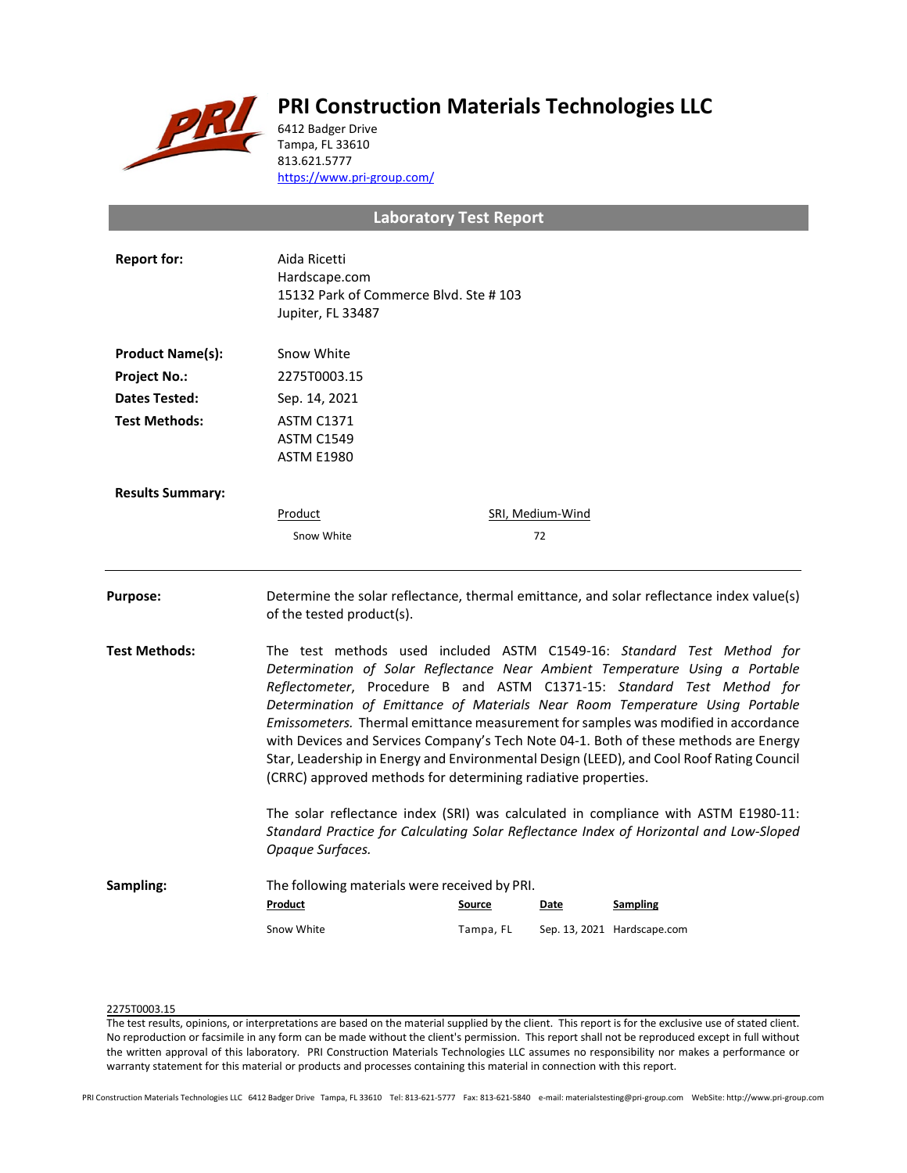

# **PRI Construction Materials Technologies LLC**

6412 Badger Drive Tampa, FL 33610 813.621.5777 <https://www.pri-group.com/>

## **Laboratory Test Report**

| <b>Report for:</b>      | Aida Ricetti<br>Hardscape.com<br>15132 Park of Commerce Blvd. Ste #103<br>Jupiter, FL 33487                                                                                                                                                                                                                                                                                                                                                                                                                                                                                                                                                                 |                            |                  |                                                                                          |  |
|-------------------------|-------------------------------------------------------------------------------------------------------------------------------------------------------------------------------------------------------------------------------------------------------------------------------------------------------------------------------------------------------------------------------------------------------------------------------------------------------------------------------------------------------------------------------------------------------------------------------------------------------------------------------------------------------------|----------------------------|------------------|------------------------------------------------------------------------------------------|--|
| <b>Product Name(s):</b> | Snow White                                                                                                                                                                                                                                                                                                                                                                                                                                                                                                                                                                                                                                                  |                            |                  |                                                                                          |  |
| <b>Project No.:</b>     | 2275T0003.15                                                                                                                                                                                                                                                                                                                                                                                                                                                                                                                                                                                                                                                |                            |                  |                                                                                          |  |
| <b>Dates Tested:</b>    | Sep. 14, 2021                                                                                                                                                                                                                                                                                                                                                                                                                                                                                                                                                                                                                                               |                            |                  |                                                                                          |  |
| <b>Test Methods:</b>    | <b>ASTM C1371</b><br><b>ASTM C1549</b><br><b>ASTM E1980</b>                                                                                                                                                                                                                                                                                                                                                                                                                                                                                                                                                                                                 |                            |                  |                                                                                          |  |
| <b>Results Summary:</b> |                                                                                                                                                                                                                                                                                                                                                                                                                                                                                                                                                                                                                                                             |                            |                  |                                                                                          |  |
|                         | Product                                                                                                                                                                                                                                                                                                                                                                                                                                                                                                                                                                                                                                                     |                            | SRI, Medium-Wind |                                                                                          |  |
|                         | Snow White                                                                                                                                                                                                                                                                                                                                                                                                                                                                                                                                                                                                                                                  |                            | 72               |                                                                                          |  |
| <b>Purpose:</b>         | of the tested product(s).                                                                                                                                                                                                                                                                                                                                                                                                                                                                                                                                                                                                                                   |                            |                  | Determine the solar reflectance, thermal emittance, and solar reflectance index value(s) |  |
| Test Methods:           | The test methods used included ASTM C1549-16: Standard Test Method for<br>Determination of Solar Reflectance Near Ambient Temperature Using a Portable<br>Reflectometer, Procedure B and ASTM C1371-15: Standard Test Method for<br>Determination of Emittance of Materials Near Room Temperature Using Portable<br>Emissometers. Thermal emittance measurement for samples was modified in accordance<br>with Devices and Services Company's Tech Note 04-1. Both of these methods are Energy<br>Star, Leadership in Energy and Environmental Design (LEED), and Cool Roof Rating Council<br>(CRRC) approved methods for determining radiative properties. |                            |                  |                                                                                          |  |
|                         | The solar reflectance index (SRI) was calculated in compliance with ASTM E1980-11:<br>Standard Practice for Calculating Solar Reflectance Index of Horizontal and Low-Sloped<br>Opaque Surfaces.                                                                                                                                                                                                                                                                                                                                                                                                                                                            |                            |                  |                                                                                          |  |
| Sampling:               | The following materials were received by PRI.<br>Product<br>Snow White                                                                                                                                                                                                                                                                                                                                                                                                                                                                                                                                                                                      | <b>Source</b><br>Tampa, FL | Date             | <b>Sampling</b><br>Sep. 13, 2021 Hardscape.com                                           |  |
|                         |                                                                                                                                                                                                                                                                                                                                                                                                                                                                                                                                                                                                                                                             |                            |                  |                                                                                          |  |

## 2275T0003.15

The test results, opinions, or interpretations are based on the material supplied by the client. This report is for the exclusive use of stated client. No reproduction or facsimile in any form can be made without the client's permission. This report shall not be reproduced except in full without the written approval of this laboratory. PRI Construction Materials Technologies LLC assumes no responsibility nor makes a performance or warranty statement for this material or products and processes containing this material in connection with this report.

PRI Construction Materials Technologies LLC 6412 Badger Drive Tampa, FL 33610 Tel: 813-621-5777 Fax: 813-621-5840 e-mail: materialstesting@pri-group.com WebSite: http://www.pri-group.com